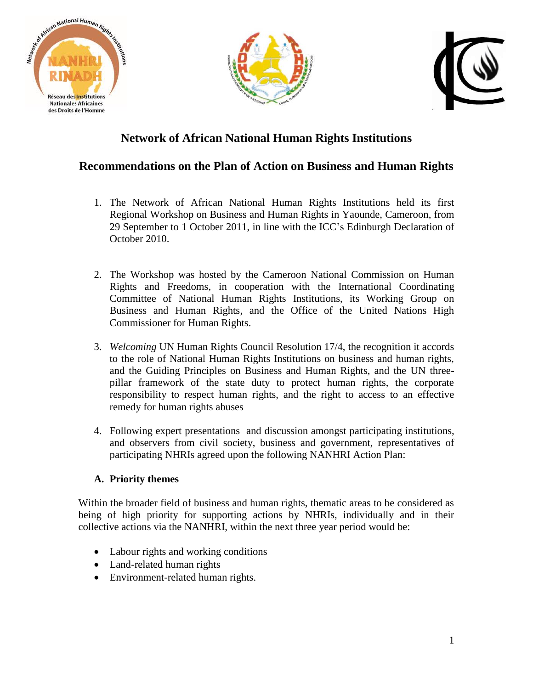





# **Network of African National Human Rights Institutions**

## **Recommendations on the Plan of Action on Business and Human Rights**

- 1. The Network of African National Human Rights Institutions held its first Regional Workshop on Business and Human Rights in Yaounde, Cameroon, from 29 September to 1 October 2011, in line with the ICC's Edinburgh Declaration of October 2010.
- 2. The Workshop was hosted by the Cameroon National Commission on Human Rights and Freedoms, in cooperation with the International Coordinating Committee of National Human Rights Institutions, its Working Group on Business and Human Rights, and the Office of the United Nations High Commissioner for Human Rights.
- 3. *Welcoming* UN Human Rights Council Resolution 17/4, the recognition it accords to the role of National Human Rights Institutions on business and human rights, and the Guiding Principles on Business and Human Rights, and the UN threepillar framework of the state duty to protect human rights, the corporate responsibility to respect human rights, and the right to access to an effective remedy for human rights abuses
- 4. Following expert presentations and discussion amongst participating institutions, and observers from civil society, business and government, representatives of participating NHRIs agreed upon the following NANHRI Action Plan:

#### **A. Priority themes**

Within the broader field of business and human rights, thematic areas to be considered as being of high priority for supporting actions by NHRIs, individually and in their collective actions via the NANHRI, within the next three year period would be:

- Labour rights and working conditions
- Land-related human rights
- Environment-related human rights.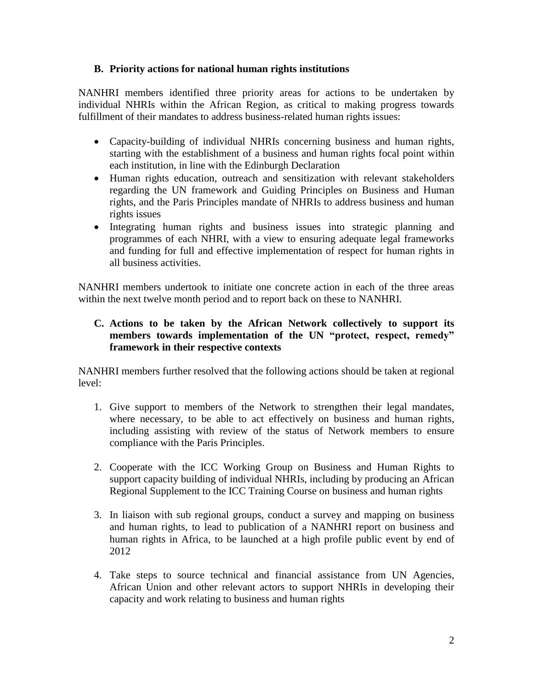#### **B. Priority actions for national human rights institutions**

NANHRI members identified three priority areas for actions to be undertaken by individual NHRIs within the African Region, as critical to making progress towards fulfillment of their mandates to address business-related human rights issues:

- Capacity-building of individual NHRIs concerning business and human rights, starting with the establishment of a business and human rights focal point within each institution, in line with the Edinburgh Declaration
- Human rights education, outreach and sensitization with relevant stakeholders regarding the UN framework and Guiding Principles on Business and Human rights, and the Paris Principles mandate of NHRIs to address business and human rights issues
- Integrating human rights and business issues into strategic planning and programmes of each NHRI, with a view to ensuring adequate legal frameworks and funding for full and effective implementation of respect for human rights in all business activities.

NANHRI members undertook to initiate one concrete action in each of the three areas within the next twelve month period and to report back on these to NANHRI.

#### **C. Actions to be taken by the African Network collectively to support its members towards implementation of the UN "protect, respect, remedy" framework in their respective contexts**

NANHRI members further resolved that the following actions should be taken at regional level:

- 1. Give support to members of the Network to strengthen their legal mandates, where necessary, to be able to act effectively on business and human rights, including assisting with review of the status of Network members to ensure compliance with the Paris Principles.
- 2. Cooperate with the ICC Working Group on Business and Human Rights to support capacity building of individual NHRIs, including by producing an African Regional Supplement to the ICC Training Course on business and human rights
- 3. In liaison with sub regional groups, conduct a survey and mapping on business and human rights, to lead to publication of a NANHRI report on business and human rights in Africa, to be launched at a high profile public event by end of 2012
- 4. Take steps to source technical and financial assistance from UN Agencies, African Union and other relevant actors to support NHRIs in developing their capacity and work relating to business and human rights